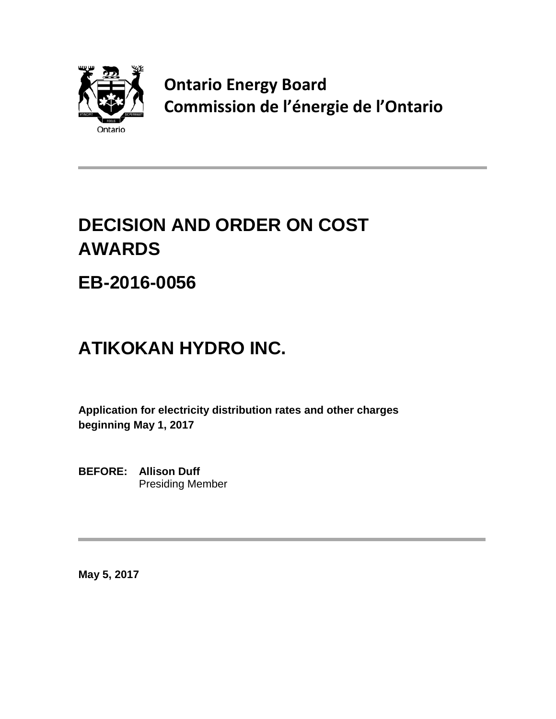

**Ontario Energy Board Commission de l'énergie de l'Ontario**

# **DECISION AND ORDER ON COST AWARDS**

**EB-2016-0056**

## **ATIKOKAN HYDRO INC.**

**Application for electricity distribution rates and other charges beginning May 1, 2017**

**BEFORE: Allison Duff** Presiding Member

**May 5, 2017**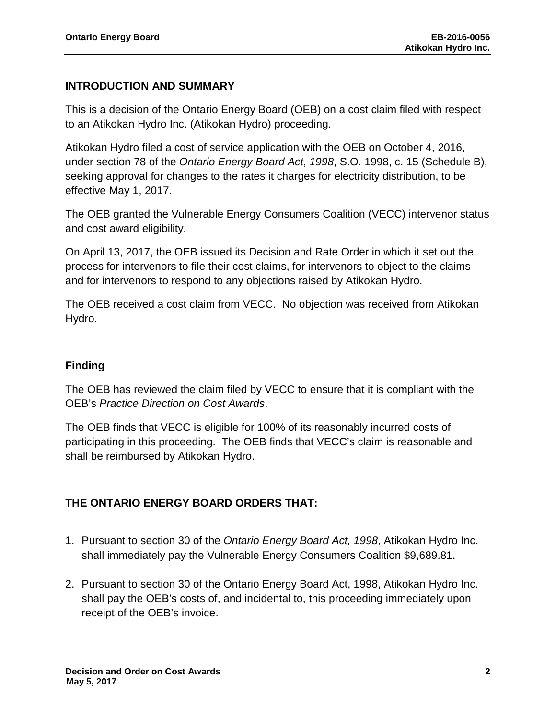#### **INTRODUCTION AND SUMMARY**

This is a decision of the Ontario Energy Board (OEB) on a cost claim filed with respect to an Atikokan Hydro Inc. (Atikokan Hydro) proceeding.

Atikokan Hydro filed a cost of service application with the OEB on October 4, 2016, under section 78 of the *Ontario Energy Board Act*, *1998*, S.O. 1998, c. 15 (Schedule B), seeking approval for changes to the rates it charges for electricity distribution, to be effective May 1, 2017.

The OEB granted the Vulnerable Energy Consumers Coalition (VECC) intervenor status and cost award eligibility.

On April 13, 2017, the OEB issued its Decision and Rate Order in which it set out the process for intervenors to file their cost claims, for intervenors to object to the claims and for intervenors to respond to any objections raised by Atikokan Hydro.

The OEB received a cost claim from VECC. No objection was received from Atikokan Hydro.

#### **Finding**

The OEB has reviewed the claim filed by VECC to ensure that it is compliant with the OEB's *Practice Direction on Cost Awards*.

The OEB finds that VECC is eligible for 100% of its reasonably incurred costs of participating in this proceeding. The OEB finds that VECC's claim is reasonable and shall be reimbursed by Atikokan Hydro.

#### **THE ONTARIO ENERGY BOARD ORDERS THAT:**

- 1. Pursuant to section 30 of the *Ontario Energy Board Act, 1998*, Atikokan Hydro Inc. shall immediately pay the Vulnerable Energy Consumers Coalition \$9,689.81.
- 2. Pursuant to section 30 of the Ontario Energy Board Act, 1998, Atikokan Hydro Inc. shall pay the OEB's costs of, and incidental to, this proceeding immediately upon receipt of the OEB's invoice.